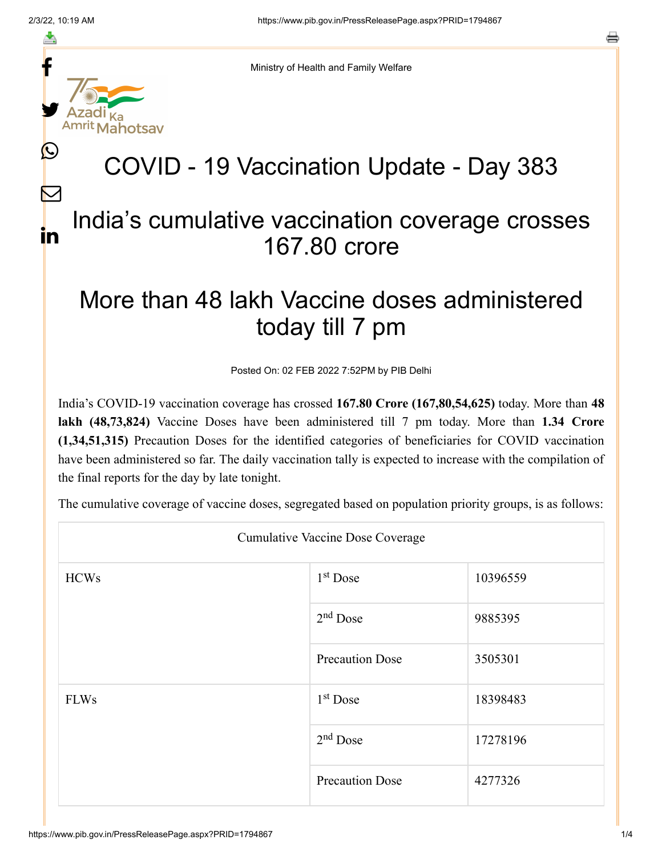f

≛

y.

 $\mathbb{C}$ 

 $\bm{\nabla}$ 

in

Ministry of Health and Family Welfare

## COVID - 19 Vaccination Update - Day 383

## India's cumulative vaccination coverage crosses 167.80 crore

## More than 48 lakh Vaccine doses administered today till 7 pm

Posted On: 02 FEB 2022 7:52PM by PIB Delhi

India's COVID-19 vaccination coverage has crossed **167.80 Crore (167,80,54,625)** today. More than **48 lakh (48,73,824)** Vaccine Doses have been administered till 7 pm today. More than **1.34 Crore (1,34,51,315)** Precaution Doses for the identified categories of beneficiaries for COVID vaccination have been administered so far. The daily vaccination tally is expected to increase with the compilation of the final reports for the day by late tonight.

The cumulative coverage of vaccine doses, segregated based on population priority groups, is as follows:

| <b>Cumulative Vaccine Dose Coverage</b> |                        |          |  |  |
|-----------------------------------------|------------------------|----------|--|--|
| <b>HCWs</b>                             | $1st$ Dose             | 10396559 |  |  |
|                                         | $2nd$ Dose             | 9885395  |  |  |
|                                         | <b>Precaution Dose</b> | 3505301  |  |  |
| <b>FLWs</b>                             | $1st$ Dose             | 18398483 |  |  |
|                                         | $2nd$ Dose             | 17278196 |  |  |
|                                         | <b>Precaution Dose</b> | 4277326  |  |  |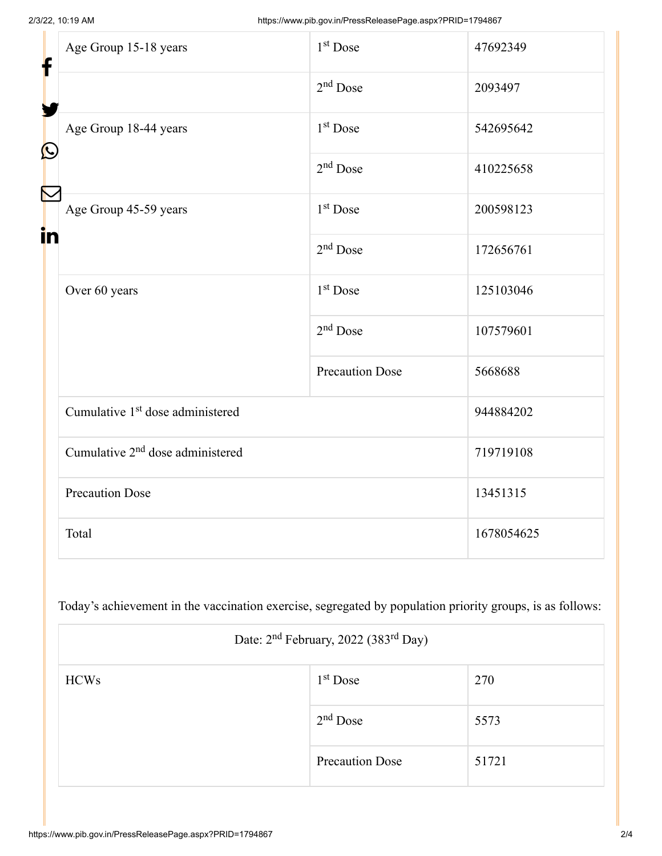| f<br>$\bf \Omega$ | Age Group 15-18 years                        | 1 <sup>st</sup> Dose   | 47692349   |
|-------------------|----------------------------------------------|------------------------|------------|
|                   |                                              | $2nd$ Dose             | 2093497    |
|                   | Age Group 18-44 years                        | 1 <sup>st</sup> Dose   | 542695642  |
|                   |                                              | $2nd$ Dose             | 410225658  |
| in                | Age Group 45-59 years                        | $1st$ Dose             | 200598123  |
|                   |                                              | $2nd$ Dose             | 172656761  |
|                   | Over 60 years                                | 1 <sup>st</sup> Dose   | 125103046  |
|                   |                                              | $2nd$ Dose             | 107579601  |
|                   |                                              | <b>Precaution Dose</b> | 5668688    |
|                   | Cumulative 1 <sup>st</sup> dose administered |                        | 944884202  |
|                   | Cumulative 2 <sup>nd</sup> dose administered |                        | 719719108  |
|                   | <b>Precaution Dose</b>                       |                        | 13451315   |
|                   | Total                                        |                        | 1678054625 |

Today's achievement in the vaccination exercise, segregated by population priority groups, is as follows:

| Date: 2 <sup>nd</sup> February, 2022 (383 <sup>rd</sup> Day) |                        |       |  |  |
|--------------------------------------------------------------|------------------------|-------|--|--|
| <b>HCWs</b>                                                  | $1st$ Dose             | 270   |  |  |
|                                                              | $2nd$ Dose             | 5573  |  |  |
|                                                              | <b>Precaution Dose</b> | 51721 |  |  |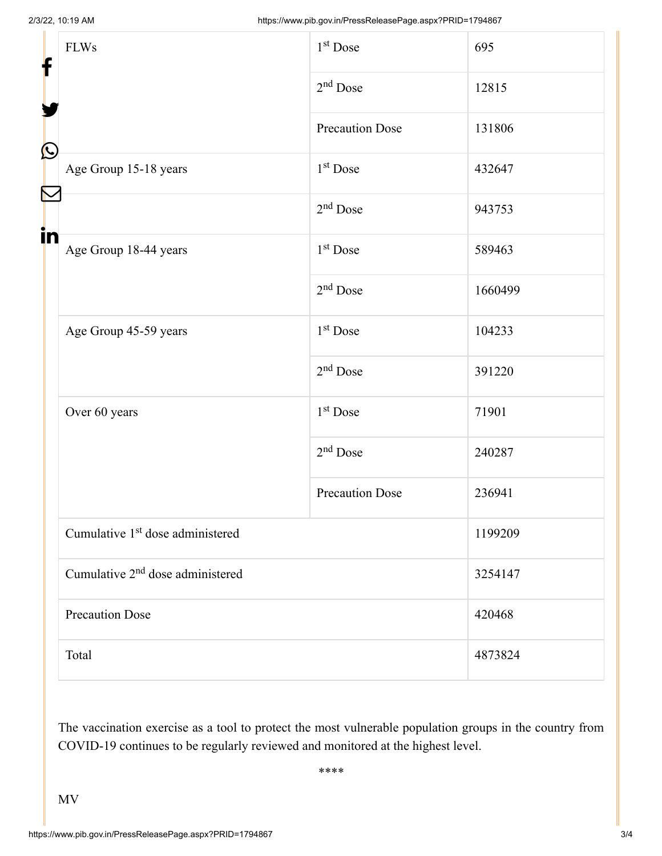| f<br>$\bf \Omega$ | <b>FLWs</b>                                  | 1 <sup>st</sup> Dose   | 695     |  |
|-------------------|----------------------------------------------|------------------------|---------|--|
|                   |                                              | $2nd$ Dose             | 12815   |  |
|                   |                                              | Precaution Dose        | 131806  |  |
|                   | Age Group 15-18 years                        | 1 <sup>st</sup> Dose   | 432647  |  |
| in                |                                              | $2nd$ Dose             | 943753  |  |
|                   | Age Group 18-44 years                        | $1st$ Dose             | 589463  |  |
|                   |                                              | $2nd$ Dose             | 1660499 |  |
|                   | Age Group 45-59 years                        | 1 <sup>st</sup> Dose   | 104233  |  |
|                   |                                              | $2nd$ Dose             | 391220  |  |
|                   | Over 60 years                                | $1st$ Dose             | 71901   |  |
|                   |                                              | $2nd$ Dose             | 240287  |  |
|                   |                                              | <b>Precaution Dose</b> | 236941  |  |
|                   | Cumulative 1 <sup>st</sup> dose administered |                        | 1199209 |  |
|                   | Cumulative 2 <sup>nd</sup> dose administered |                        | 3254147 |  |
|                   | <b>Precaution Dose</b>                       |                        | 420468  |  |
|                   | Total                                        |                        | 4873824 |  |

The vaccination exercise as a tool to protect the most vulnerable population groups in the country from COVID-19 continues to be regularly reviewed and monitored at the highest level.

\*\*\*\*

MV